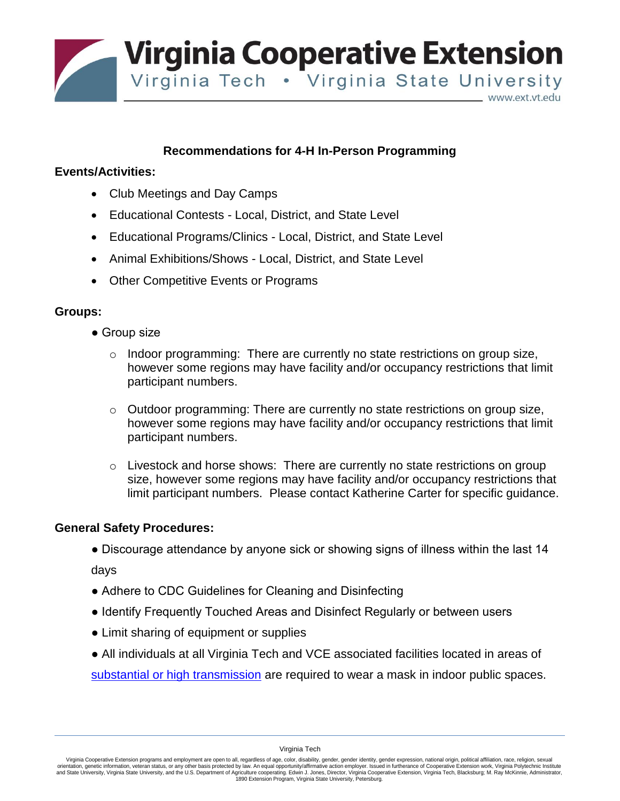**Virginia Cooperative Extension** Virginia Tech . Virginia State University www.ext.vt.edu

# **Recommendations for 4-H In-Person Programming**

## **Events/Activities:**

- Club Meetings and Day Camps
- Educational Contests Local, District, and State Level
- Educational Programs/Clinics Local, District, and State Level
- Animal Exhibitions/Shows Local, District, and State Level
- Other Competitive Events or Programs

### **Groups:**

- Group size
	- $\circ$  Indoor programming: There are currently no state restrictions on group size, however some regions may have facility and/or occupancy restrictions that limit participant numbers.
	- $\circ$  Outdoor programming: There are currently no state restrictions on group size, however some regions may have facility and/or occupancy restrictions that limit participant numbers.
	- $\circ$  Livestock and horse shows: There are currently no state restrictions on group size, however some regions may have facility and/or occupancy restrictions that limit participant numbers. Please contact Katherine Carter for specific guidance.

### **General Safety Procedures:**

• Discourage attendance by anyone sick or showing signs of illness within the last 14

days

- Adhere to CDC Guidelines for Cleaning and Disinfecting
- Identify Frequently Touched Areas and Disinfect Regularly or between users
- Limit sharing of equipment or supplies
- All individuals at all Virginia Tech and VCE associated facilities located in areas of

[substantial or high transmission](https://covid.cdc.gov/covid-data-tracker/#county-view) are required to wear a mask in indoor public spaces.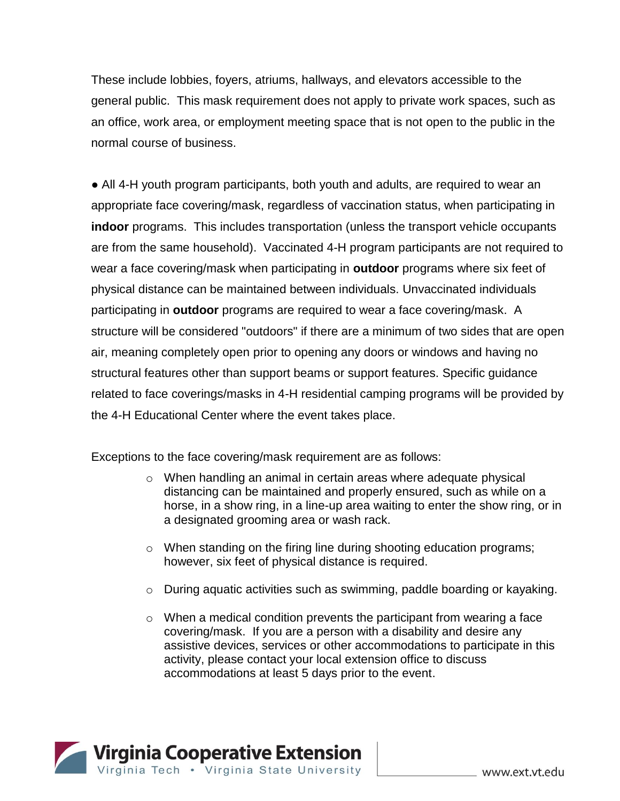These include lobbies, foyers, atriums, hallways, and elevators accessible to the general public. This mask requirement does not apply to private work spaces, such as an office, work area, or employment meeting space that is not open to the public in the normal course of business.

• All 4-H youth program participants, both youth and adults, are required to wear an appropriate face covering/mask, regardless of vaccination status, when participating in **indoor** programs. This includes transportation (unless the transport vehicle occupants are from the same household). Vaccinated 4-H program participants are not required to wear a face covering/mask when participating in **outdoor** programs where six feet of physical distance can be maintained between individuals. Unvaccinated individuals participating in **outdoor** programs are required to wear a face covering/mask. A structure will be considered "outdoors" if there are a minimum of two sides that are open air, meaning completely open prior to opening any doors or windows and having no structural features other than support beams or support features. Specific guidance related to face coverings/masks in 4-H residential camping programs will be provided by the 4-H Educational Center where the event takes place.

Exceptions to the face covering/mask requirement are as follows:

- o When handling an animal in certain areas where adequate physical distancing can be maintained and properly ensured, such as while on a horse, in a show ring, in a line-up area waiting to enter the show ring, or in a designated grooming area or wash rack.
- o When standing on the firing line during shooting education programs; however, six feet of physical distance is required.
- $\circ$  During aquatic activities such as swimming, paddle boarding or kayaking.
- $\circ$  When a medical condition prevents the participant from wearing a face covering/mask. If you are a person with a disability and desire any assistive devices, services or other accommodations to participate in this activity, please contact your local extension office to discuss accommodations at least 5 days prior to the event.